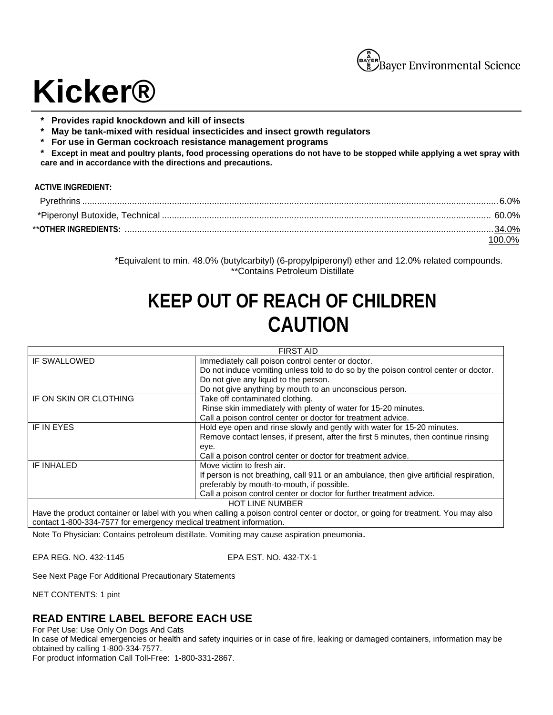

# **Kicker®**

- **\* Provides rapid knockdown and kill of insects**
- **\* May be tank-mixed with residual insecticides and insect growth regulators**
- **\* For use in German cockroach resistance management programs**

**\* Except in meat and poultry plants, food processing operations do not have to be stopped while applying a wet spray with care and in accordance with the directions and precautions.** 

### **ACTIVE INGREDIENT:**

| 8.0%. 6.0%. قال المستقدم المستقدم المستقدم المستقدم المستقدم المستقدم المستقدم المستقدم المستقدم المستقدم المستقدم المستقدم المستقدم المستقدم المستقدم المستقدم المستقدم المستقدم المستقدم المستقدم المستقدم المستقدم المستقدم |  |
|--------------------------------------------------------------------------------------------------------------------------------------------------------------------------------------------------------------------------------|--|
|                                                                                                                                                                                                                                |  |
|                                                                                                                                                                                                                                |  |
|                                                                                                                                                                                                                                |  |

\*Equivalent to min. 48.0% (butylcarbityl) (6-propylpiperonyl) ether and 12.0% related compounds. \*\*Contains Petroleum Distillate

# **KEEP OUT OF REACH OF CHILDREN CAUTION**

| <b>FIRST AID</b>                                                                                                                  |                                                                                         |  |
|-----------------------------------------------------------------------------------------------------------------------------------|-----------------------------------------------------------------------------------------|--|
| IF SWALLOWED                                                                                                                      | Immediately call poison control center or doctor.                                       |  |
|                                                                                                                                   | Do not induce vomiting unless told to do so by the poison control center or doctor.     |  |
|                                                                                                                                   | Do not give any liquid to the person.                                                   |  |
|                                                                                                                                   | Do not give anything by mouth to an unconscious person.                                 |  |
| IF ON SKIN OR CLOTHING                                                                                                            | Take off contaminated clothing.                                                         |  |
|                                                                                                                                   | Rinse skin immediately with plenty of water for 15-20 minutes.                          |  |
|                                                                                                                                   | Call a poison control center or doctor for treatment advice.                            |  |
| IF IN EYES                                                                                                                        | Hold eye open and rinse slowly and gently with water for 15-20 minutes.                 |  |
|                                                                                                                                   | Remove contact lenses, if present, after the first 5 minutes, then continue rinsing     |  |
|                                                                                                                                   | eye.                                                                                    |  |
|                                                                                                                                   | Call a poison control center or doctor for treatment advice.                            |  |
| IF INHALED                                                                                                                        | Move victim to fresh air.                                                               |  |
|                                                                                                                                   | If person is not breathing, call 911 or an ambulance, then give artificial respiration, |  |
|                                                                                                                                   | preferably by mouth-to-mouth, if possible.                                              |  |
|                                                                                                                                   | Call a poison control center or doctor for further treatment advice.                    |  |
| <b>HOT LINE NUMBER</b>                                                                                                            |                                                                                         |  |
| Have the product container or label with you when calling a poison control center or doctor, or going for treatment. You may also |                                                                                         |  |

Have the product container or label with you when calling a poison control center or doctor, or going for treatment. You may also contact 1-800-334-7577 for emergency medical treatment information.

Note To Physician: Contains petroleum distillate. Vomiting may cause aspiration pneumonia.

EPA REG. NO. 432-1145 EPA EST. NO. 432-TX-1

See Next Page For Additional Precautionary Statements

NET CONTENTS: 1 pint

# **READ ENTIRE LABEL BEFORE EACH USE**

For Pet Use: Use Only On Dogs And Cats

In case of Medical emergencies or health and safety inquiries or in case of fire, leaking or damaged containers, information may be obtained by calling 1-800-334-7577.

For product information Call Toll-Free: 1-800-331-2867.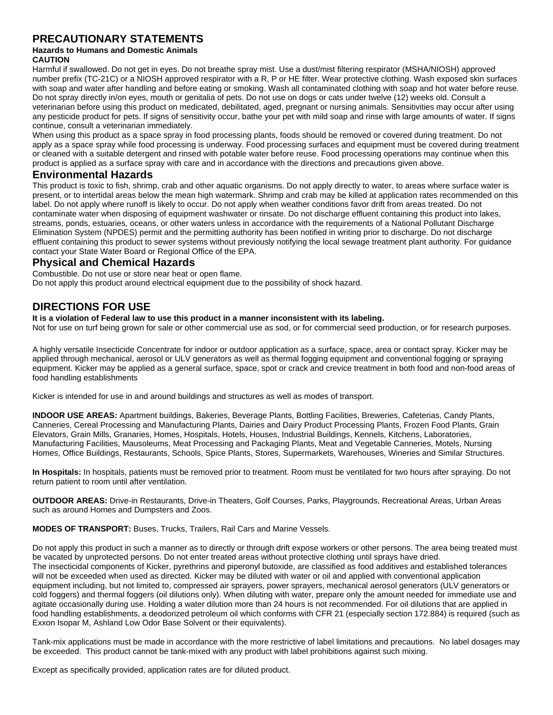# **PRECAUTIONARY STATEMENTS**

# **Hazards to Humans and Domestic Animals**

**CAUTION**

Harmful if swallowed. Do not get in eyes. Do not breathe spray mist. Use a dust/mist filtering respirator (MSHA/NIOSH) approved number prefix (TC-21C) or a NIOSH approved respirator with a R, P or HE filter. Wear protective clothing. Wash exposed skin surfaces with soap and water after handling and before eating or smoking. Wash all contaminated clothing with soap and hot water before reuse. Do not spray directly in/on eyes, mouth or genitalia of pets. Do not use on dogs or cats under twelve (12) weeks old. Consult a veterinarian before using this product on medicated, debilitated, aged, pregnant or nursing animals. Sensitivities may occur after using any pesticide product for pets. If signs of sensitivity occur, bathe your pet with mild soap and rinse with large amounts of water. If signs continue, consult a veterinarian immediately.

When using this product as a space spray in food processing plants, foods should be removed or covered during treatment. Do not apply as a space spray while food processing is underway. Food processing surfaces and equipment must be covered during treatment or cleaned with a suitable detergent and rinsed with potable water before reuse. Food processing operations may continue when this product is applied as a surface spray with care and in accordance with the directions and precautions given above.

# **Environmental Hazards**

This product is toxic to fish, shrimp, crab and other aquatic organisms. Do not apply directly to water, to areas where surface water is present, or to intertidal areas below the mean high watermark. Shrimp and crab may be killed at application rates recommended on this label. Do not apply where runoff is likely to occur. Do not apply when weather conditions favor drift from areas treated. Do not contaminate water when disposing of equipment washwater or rinsate. Do not discharge effluent containing this product into lakes, streams, ponds, estuaries, oceans, or other waters unless in accordance with the requirements of a National Pollutant Discharge Elimination System (NPDES) permit and the permitting authority has been notified in writing prior to discharge. Do not discharge effluent containing this product to sewer systems without previously notifying the local sewage treatment plant authority. For guidance contact your State Water Board or Regional Office of the EPA.

# **Physical and Chemical Hazards**

Combustible. Do not use or store near heat or open flame. Do not apply this product around electrical equipment due to the possibility of shock hazard.

# **DIRECTIONS FOR USE**

**It is a violation of Federal law to use this product in a manner inconsistent with its labeling.** 

Not for use on turf being grown for sale or other commercial use as sod, or for commercial seed production, or for research purposes.

A highly versatile Insecticide Concentrate for indoor or outdoor application as a surface, space, area or contact spray. Kicker may be applied through mechanical, aerosol or ULV generators as well as thermal fogging equipment and conventional fogging or spraying equipment. Kicker may be applied as a general surface, space, spot or crack and crevice treatment in both food and non-food areas of food handling establishments

Kicker is intended for use in and around buildings and structures as well as modes of transport.

**INDOOR USE AREAS:** Apartment buildings, Bakeries, Beverage Plants, Bottling Facilities, Breweries, Cafeterias, Candy Plants, Canneries, Cereal Processing and Manufacturing Plants, Dairies and Dairy Product Processing Plants, Frozen Food Plants, Grain Elevators, Grain Mills, Granaries, Homes, Hospitals, Hotels, Houses, Industrial Buildings, Kennels, Kitchens, Laboratories, Manufacturing Facilities, Mausoleums, Meat Processing and Packaging Plants, Meat and Vegetable Canneries, Motels, Nursing Homes, Office Buildings, Restaurants, Schools, Spice Plants, Stores, Supermarkets, Warehouses, Wineries and Similar Structures.

**In Hospitals:** In hospitals, patients must be removed prior to treatment. Room must be ventilated for two hours after spraying. Do not return patient to room until after ventilation.

**OUTDOOR AREAS:** Drive-in Restaurants, Drive-in Theaters, Golf Courses, Parks, Playgrounds, Recreational Areas, Urban Areas such as around Homes and Dumpsters and Zoos.

**MODES OF TRANSPORT:** Buses, Trucks, Trailers, Rail Cars and Marine Vessels.

Do not apply this product in such a manner as to directly or through drift expose workers or other persons. The area being treated must be vacated by unprotected persons. Do not enter treated areas without protective clothing until sprays have dried. The insecticidal components of Kicker, pyrethrins and piperonyl butoxide, are classified as food additives and established tolerances will not be exceeded when used as directed. Kicker may be diluted with water or oil and applied with conventional application equipment including, but not limited to, compressed air sprayers, power sprayers, mechanical aerosol generators (ULV generators or cold foggers) and thermal foggers (oil dilutions only). When diluting with water, prepare only the amount needed for immediate use and agitate occasionally during use. Holding a water dilution more than 24 hours is not recommended. For oil dilutions that are applied in food handling establishments, a deodorized petroleum oil which conforms with CFR 21 (especially section 172.884) is required (such as Exxon Isopar M, Ashland Low Odor Base Solvent or their equivalents).

Tank-mix applications must be made in accordance with the more restrictive of label limitations and precautions. No label dosages may be exceeded. This product cannot be tank-mixed with any product with label prohibitions against such mixing.

Except as specifically provided, application rates are for diluted product.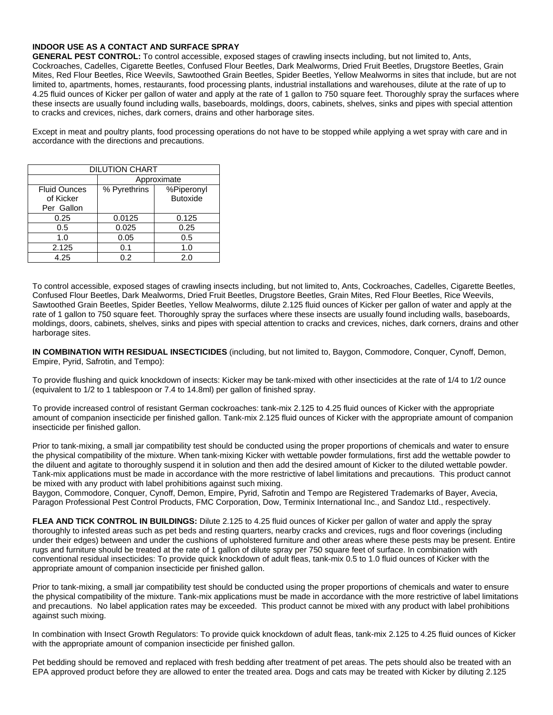#### **INDOOR USE AS A CONTACT AND SURFACE SPRAY**

**GENERAL PEST CONTROL:** To control accessible, exposed stages of crawling insects including, but not limited to, Ants, Cockroaches, Cadelles, Cigarette Beetles, Confused Flour Beetles, Dark Mealworms, Dried Fruit Beetles, Drugstore Beetles, Grain Mites, Red Flour Beetles, Rice Weevils, Sawtoothed Grain Beetles, Spider Beetles, Yellow Mealworms in sites that include, but are not limited to, apartments, homes, restaurants, food processing plants, industrial installations and warehouses, dilute at the rate of up to 4.25 fluid ounces of Kicker per gallon of water and apply at the rate of 1 gallon to 750 square feet. Thoroughly spray the surfaces where these insects are usually found including walls, baseboards, moldings, doors, cabinets, shelves, sinks and pipes with special attention to cracks and crevices, niches, dark corners, drains and other harborage sites.

Except in meat and poultry plants, food processing operations do not have to be stopped while applying a wet spray with care and in accordance with the directions and precautions.

| <b>DILUTION CHART</b> |              |                 |
|-----------------------|--------------|-----------------|
|                       | Approximate  |                 |
| <b>Fluid Ounces</b>   | % Pyrethrins | %Piperonyl      |
| of Kicker             |              | <b>Butoxide</b> |
| Per Gallon            |              |                 |
| 0.25                  | 0.0125       | 0.125           |
| 0.5                   | 0.025        | 0.25            |
| 1.0                   | 0.05         | 0.5             |
| 2.125                 | 0.1          | 1.0             |
| 4.25                  | 0.2          | 2.0             |

To control accessible, exposed stages of crawling insects including, but not limited to, Ants, Cockroaches, Cadelles, Cigarette Beetles, Confused Flour Beetles, Dark Mealworms, Dried Fruit Beetles, Drugstore Beetles, Grain Mites, Red Flour Beetles, Rice Weevils, Sawtoothed Grain Beetles, Spider Beetles, Yellow Mealworms, dilute 2.125 fluid ounces of Kicker per gallon of water and apply at the rate of 1 gallon to 750 square feet. Thoroughly spray the surfaces where these insects are usually found including walls, baseboards, moldings, doors, cabinets, shelves, sinks and pipes with special attention to cracks and crevices, niches, dark corners, drains and other harborage sites.

**IN COMBINATION WITH RESIDUAL INSECTICIDES** (including, but not limited to, Baygon, Commodore, Conquer, Cynoff, Demon, Empire, Pyrid, Safrotin, and Tempo):

To provide flushing and quick knockdown of insects: Kicker may be tank-mixed with other insecticides at the rate of 1/4 to 1/2 ounce (equivalent to 1/2 to 1 tablespoon or 7.4 to 14.8ml) per gallon of finished spray.

To provide increased control of resistant German cockroaches: tank-mix 2.125 to 4.25 fluid ounces of Kicker with the appropriate amount of companion insecticide per finished gallon. Tank-mix 2.125 fluid ounces of Kicker with the appropriate amount of companion insecticide per finished gallon.

Prior to tank-mixing, a small jar compatibility test should be conducted using the proper proportions of chemicals and water to ensure the physical compatibility of the mixture. When tank-mixing Kicker with wettable powder formulations, first add the wettable powder to the diluent and agitate to thoroughly suspend it in solution and then add the desired amount of Kicker to the diluted wettable powder. Tank-mix applications must be made in accordance with the more restrictive of label limitations and precautions. This product cannot be mixed with any product with label prohibitions against such mixing.

Baygon, Commodore, Conquer, Cynoff, Demon, Empire, Pyrid, Safrotin and Tempo are Registered Trademarks of Bayer, Avecia, Paragon Professional Pest Control Products, FMC Corporation, Dow, Terminix International Inc., and Sandoz Ltd., respectively.

**FLEA AND TICK CONTROL IN BUILDINGS:** Dilute 2.125 to 4.25 fluid ounces of Kicker per gallon of water and apply the spray thoroughly to infested areas such as pet beds and resting quarters, nearby cracks and crevices, rugs and floor coverings (including under their edges) between and under the cushions of upholstered furniture and other areas where these pests may be present. Entire rugs and furniture should be treated at the rate of 1 gallon of dilute spray per 750 square feet of surface. In combination with conventional residual insecticides: To provide quick knockdown of adult fleas, tank-mix 0.5 to 1.0 fluid ounces of Kicker with the appropriate amount of companion insecticide per finished gallon.

Prior to tank-mixing, a small jar compatibility test should be conducted using the proper proportions of chemicals and water to ensure the physical compatibility of the mixture. Tank-mix applications must be made in accordance with the more restrictive of label limitations and precautions. No label application rates may be exceeded. This product cannot be mixed with any product with label prohibitions against such mixing.

In combination with Insect Growth Regulators: To provide quick knockdown of adult fleas, tank-mix 2.125 to 4.25 fluid ounces of Kicker with the appropriate amount of companion insecticide per finished gallon.

Pet bedding should be removed and replaced with fresh bedding after treatment of pet areas. The pets should also be treated with an EPA approved product before they are allowed to enter the treated area. Dogs and cats may be treated with Kicker by diluting 2.125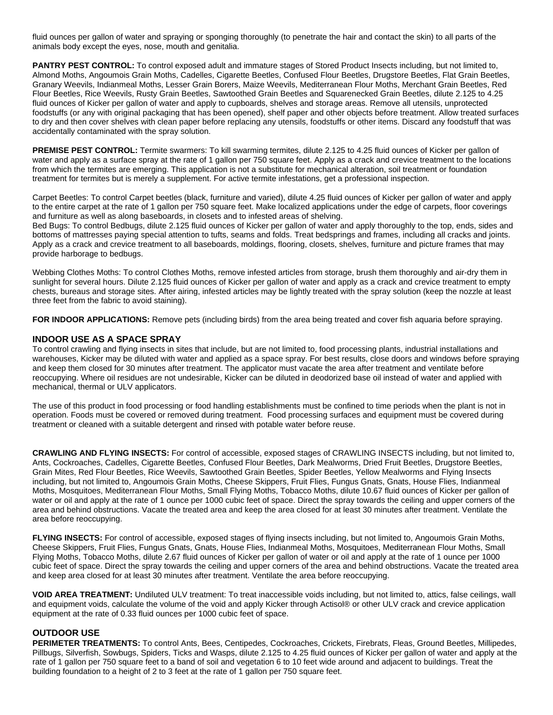fluid ounces per gallon of water and spraying or sponging thoroughly (to penetrate the hair and contact the skin) to all parts of the animals body except the eyes, nose, mouth and genitalia.

**PANTRY PEST CONTROL:** To control exposed adult and immature stages of Stored Product Insects including, but not limited to, Almond Moths, Angoumois Grain Moths, Cadelles, Cigarette Beetles, Confused Flour Beetles, Drugstore Beetles, Flat Grain Beetles, Granary Weevils, Indianmeal Moths, Lesser Grain Borers, Maize Weevils, Mediterranean Flour Moths, Merchant Grain Beetles, Red Flour Beetles, Rice Weevils, Rusty Grain Beetles, Sawtoothed Grain Beetles and Squarenecked Grain Beetles, dilute 2.125 to 4.25 fluid ounces of Kicker per gallon of water and apply to cupboards, shelves and storage areas. Remove all utensils, unprotected foodstuffs (or any with original packaging that has been opened), shelf paper and other objects before treatment. Allow treated surfaces to dry and then cover shelves with clean paper before replacing any utensils, foodstuffs or other items. Discard any foodstuff that was accidentally contaminated with the spray solution.

**PREMISE PEST CONTROL:** Termite swarmers: To kill swarming termites, dilute 2.125 to 4.25 fluid ounces of Kicker per gallon of water and apply as a surface spray at the rate of 1 gallon per 750 square feet. Apply as a crack and crevice treatment to the locations from which the termites are emerging. This application is not a substitute for mechanical alteration, soil treatment or foundation treatment for termites but is merely a supplement. For active termite infestations, get a professional inspection.

Carpet Beetles: To control Carpet beetles (black, furniture and varied), dilute 4.25 fluid ounces of Kicker per gallon of water and apply to the entire carpet at the rate of 1 gallon per 750 square feet. Make localized applications under the edge of carpets, floor coverings and furniture as well as along baseboards, in closets and to infested areas of shelving.

Bed Bugs: To control Bedbugs, dilute 2.125 fluid ounces of Kicker per gallon of water and apply thoroughly to the top, ends, sides and bottoms of mattresses paying special attention to tufts, seams and folds. Treat bedsprings and frames, including all cracks and joints. Apply as a crack and crevice treatment to all baseboards, moldings, flooring, closets, shelves, furniture and picture frames that may provide harborage to bedbugs.

Webbing Clothes Moths: To control Clothes Moths, remove infested articles from storage, brush them thoroughly and air-dry them in sunlight for several hours. Dilute 2.125 fluid ounces of Kicker per gallon of water and apply as a crack and crevice treatment to empty chests, bureaus and storage sites. After airing, infested articles may be lightly treated with the spray solution (keep the nozzle at least three feet from the fabric to avoid staining).

**FOR INDOOR APPLICATIONS:** Remove pets (including birds) from the area being treated and cover fish aquaria before spraying.

#### **INDOOR USE AS A SPACE SPRAY**

To control crawling and flying insects in sites that include, but are not limited to, food processing plants, industrial installations and warehouses, Kicker may be diluted with water and applied as a space spray. For best results, close doors and windows before spraying and keep them closed for 30 minutes after treatment. The applicator must vacate the area after treatment and ventilate before reoccupying. Where oil residues are not undesirable, Kicker can be diluted in deodorized base oil instead of water and applied with mechanical, thermal or ULV applicators.

The use of this product in food processing or food handling establishments must be confined to time periods when the plant is not in operation. Foods must be covered or removed during treatment. Food processing surfaces and equipment must be covered during treatment or cleaned with a suitable detergent and rinsed with potable water before reuse.

**CRAWLING AND FLYING INSECTS:** For control of accessible, exposed stages of CRAWLING INSECTS including, but not limited to, Ants, Cockroaches, Cadelles, Cigarette Beetles, Confused Flour Beetles, Dark Mealworms, Dried Fruit Beetles, Drugstore Beetles, Grain Mites, Red Flour Beetles, Rice Weevils, Sawtoothed Grain Beetles, Spider Beetles, Yellow Mealworms and Flying Insects including, but not limited to, Angoumois Grain Moths, Cheese Skippers, Fruit Flies, Fungus Gnats, Gnats, House Flies, Indianmeal Moths, Mosquitoes, Mediterranean Flour Moths, Small Flying Moths, Tobacco Moths, dilute 10.67 fluid ounces of Kicker per gallon of water or oil and apply at the rate of 1 ounce per 1000 cubic feet of space. Direct the spray towards the ceiling and upper corners of the area and behind obstructions. Vacate the treated area and keep the area closed for at least 30 minutes after treatment. Ventilate the area before reoccupying.

**FLYING INSECTS:** For control of accessible, exposed stages of flying insects including, but not limited to, Angoumois Grain Moths, Cheese Skippers, Fruit Flies, Fungus Gnats, Gnats, House Flies, Indianmeal Moths, Mosquitoes, Mediterranean Flour Moths, Small Flying Moths, Tobacco Moths, dilute 2.67 fluid ounces of Kicker per gallon of water or oil and apply at the rate of 1 ounce per 1000 cubic feet of space. Direct the spray towards the ceiling and upper corners of the area and behind obstructions. Vacate the treated area and keep area closed for at least 30 minutes after treatment. Ventilate the area before reoccupying.

**VOID AREA TREATMENT:** Undiluted ULV treatment: To treat inaccessible voids including, but not limited to, attics, false ceilings, wall and equipment voids, calculate the volume of the void and apply Kicker through Actisol® or other ULV crack and crevice application equipment at the rate of 0.33 fluid ounces per 1000 cubic feet of space.

#### **OUTDOOR USE**

**PERIMETER TREATMENTS:** To control Ants, Bees, Centipedes, Cockroaches, Crickets, Firebrats, Fleas, Ground Beetles, Millipedes, Pillbugs, Silverfish, Sowbugs, Spiders, Ticks and Wasps, dilute 2.125 to 4.25 fluid ounces of Kicker per gallon of water and apply at the rate of 1 gallon per 750 square feet to a band of soil and vegetation 6 to 10 feet wide around and adjacent to buildings. Treat the building foundation to a height of 2 to 3 feet at the rate of 1 gallon per 750 square feet.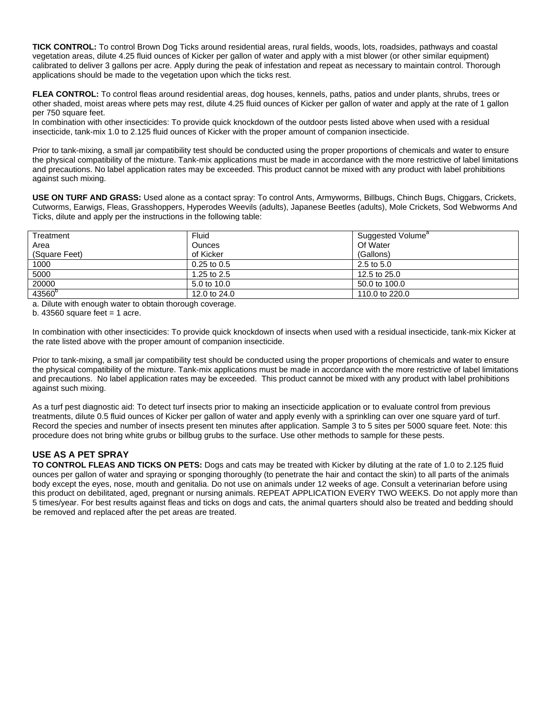**TICK CONTROL:** To control Brown Dog Ticks around residential areas, rural fields, woods, lots, roadsides, pathways and coastal vegetation areas, dilute 4.25 fluid ounces of Kicker per gallon of water and apply with a mist blower (or other similar equipment) calibrated to deliver 3 gallons per acre. Apply during the peak of infestation and repeat as necessary to maintain control. Thorough applications should be made to the vegetation upon which the ticks rest.

**FLEA CONTROL:** To control fleas around residential areas, dog houses, kennels, paths, patios and under plants, shrubs, trees or other shaded, moist areas where pets may rest, dilute 4.25 fluid ounces of Kicker per gallon of water and apply at the rate of 1 gallon per 750 square feet.

In combination with other insecticides: To provide quick knockdown of the outdoor pests listed above when used with a residual insecticide, tank-mix 1.0 to 2.125 fluid ounces of Kicker with the proper amount of companion insecticide.

Prior to tank-mixing, a small jar compatibility test should be conducted using the proper proportions of chemicals and water to ensure the physical compatibility of the mixture. Tank-mix applications must be made in accordance with the more restrictive of label limitations and precautions. No label application rates may be exceeded. This product cannot be mixed with any product with label prohibitions against such mixing.

**USE ON TURF AND GRASS:** Used alone as a contact spray: To control Ants, Armyworms, Billbugs, Chinch Bugs, Chiggars, Crickets, Cutworms, Earwigs, Fleas, Grasshoppers, Hyperodes Weevils (adults), Japanese Beetles (adults), Mole Crickets, Sod Webworms And Ticks, dilute and apply per the instructions in the following table:

| Treatment          | Fluid           | Suggested Volume <sup>a</sup> |
|--------------------|-----------------|-------------------------------|
| Area               | <b>Ounces</b>   | Of Water                      |
| (Square Feet)      | of Kicker       | (Gallons)                     |
| 1000               | $0.25$ to $0.5$ | 2.5 to 5.0                    |
| 5000               | 1.25 to $2.5$   | 12.5 to 25.0                  |
| 20000              | 5.0 to 10.0     | 50.0 to 100.0                 |
| 43560 <sup>b</sup> | 12.0 to 24.0    | 110.0 to 220.0                |

a. Dilute with enough water to obtain thorough coverage.

b.  $43560$  square feet = 1 acre.

In combination with other insecticides: To provide quick knockdown of insects when used with a residual insecticide, tank-mix Kicker at the rate listed above with the proper amount of companion insecticide.

Prior to tank-mixing, a small jar compatibility test should be conducted using the proper proportions of chemicals and water to ensure the physical compatibility of the mixture. Tank-mix applications must be made in accordance with the more restrictive of label limitations and precautions. No label application rates may be exceeded. This product cannot be mixed with any product with label prohibitions against such mixing.

As a turf pest diagnostic aid: To detect turf insects prior to making an insecticide application or to evaluate control from previous treatments, dilute 0.5 fluid ounces of Kicker per gallon of water and apply evenly with a sprinkling can over one square yard of turf. Record the species and number of insects present ten minutes after application. Sample 3 to 5 sites per 5000 square feet. Note: this procedure does not bring white grubs or billbug grubs to the surface. Use other methods to sample for these pests.

# **USE AS A PET SPRAY**

**TO CONTROL FLEAS AND TICKS ON PETS:** Dogs and cats may be treated with Kicker by diluting at the rate of 1.0 to 2.125 fluid ounces per gallon of water and spraying or sponging thoroughly (to penetrate the hair and contact the skin) to all parts of the animals body except the eyes, nose, mouth and genitalia. Do not use on animals under 12 weeks of age. Consult a veterinarian before using this product on debilitated, aged, pregnant or nursing animals. REPEAT APPLICATION EVERY TWO WEEKS. Do not apply more than 5 times/year. For best results against fleas and ticks on dogs and cats, the animal quarters should also be treated and bedding should be removed and replaced after the pet areas are treated.